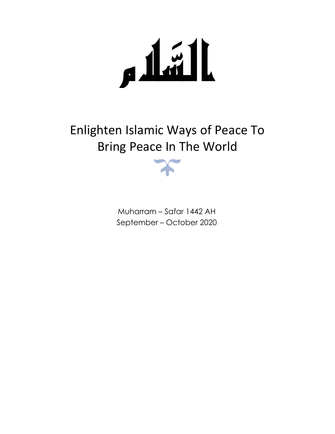الشام 

Enlighten Islamic Ways of Peace To Bring Peace In The World

> Muharram – Safar 1442 AH September – October 2020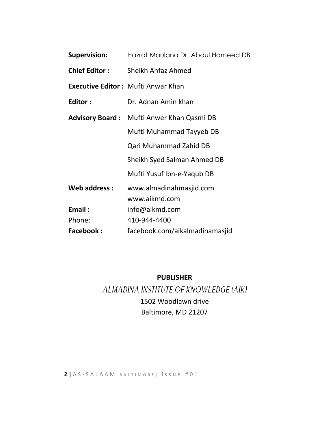| <b>Supervision:</b>  | Hazrat Maulana Dr. Abdul Hameed DB               |
|----------------------|--------------------------------------------------|
| <b>Chief Editor:</b> | Sheikh Ahfaz Ahmed                               |
|                      | <b>Executive Editor: Mufti Anwar Khan</b>        |
| Editor:              | Dr. Adnan Amin khan                              |
|                      | <b>Advisory Board:</b> Mufti Anwer Khan Qasmi DB |
|                      | Mufti Muhammad Tayyeb DB                         |
|                      | Qari Muhammad Zahid DB                           |
|                      | Sheikh Syed Salman Ahmed DB                      |
|                      | Mufti Yusuf Ibn-e-Yaqub DB                       |
| Web address:         | www.almadinahmasjid.com<br>www.aikmd.com         |
| Email:               | info@aikmd.com                                   |
| Phone:               | 410-944-4400                                     |
| <b>Facebook:</b>     | facebook.com/aikalmadinamasjid                   |

**PUBLISHER**

ALMADINA INSTITUTE OF KNOWLEDGE (AIK) 1502 Woodlawn drive Baltimore, MD 21207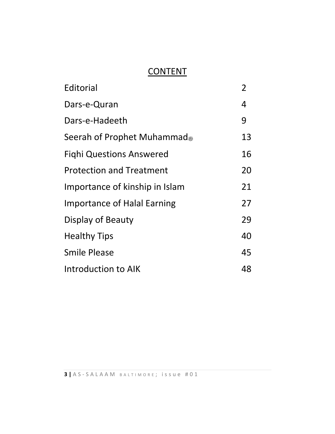# **CONTENT**

| Editorial                          | 2  |
|------------------------------------|----|
| Dars-e-Quran                       | 4  |
| Dars-e-Hadeeth                     | 9  |
| Seerah of Prophet Muhammad         | 13 |
| <b>Fighi Questions Answered</b>    | 16 |
| <b>Protection and Treatment</b>    | 20 |
| Importance of kinship in Islam     | 21 |
| <b>Importance of Halal Earning</b> | 27 |
| Display of Beauty                  | 29 |
| <b>Healthy Tips</b>                | 40 |
| <b>Smile Please</b>                | 45 |
| <b>Introduction to AIK</b>         | 48 |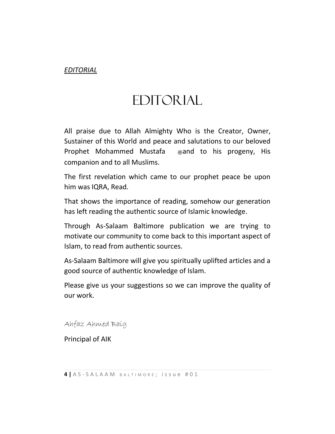#### *EDITORIAL*

# EDITORIAL

All praise due to Allah Almighty Who is the Creator, Owner, Sustainer of this World and peace and salutations to our beloved Prophet Mohammed Mustafa 
sand to his progeny, His companion and to all Muslims.

The first revelation which came to our prophet peace be upon him was IQRA, Read.

That shows the importance of reading, somehow our generation has left reading the authentic source of Islamic knowledge.

Through As-Salaam Baltimore publication we are trying to motivate our community to come back to this important aspect of Islam, to read from authentic sources.

As-Salaam Baltimore will give you spiritually uplifted articles and a good source of authentic knowledge of Islam.

Please give us your suggestions so we can improve the quality of our work.

Ahfaz Ahmed Baig

Principal of AIK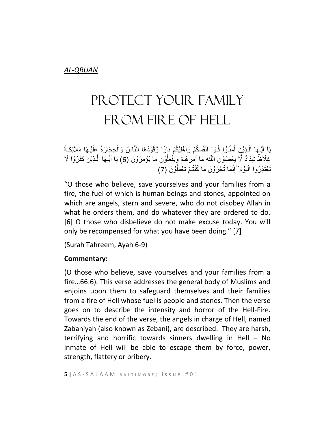# PROTECT YOUR FAMILY FROM FIRE OF HELL

يَاۤ اَيُّـِهَا الَّذِيْنَ اٰمَنُـوْا قُوٓا اَنْفُسَكُمْ وَاَهْلِيْكُمْ نَارًا وَّقُوْدُهَا النَّاسُ وَالْحِجَارَةُ عَلَيْـهَا مَلَأَئِكَـةٌ َّ ٰ ْ غِلَاظٌ شِدَادٌ لَّا يَعْصُوْنَ اللَّـٰهَ مَاۤ اَمَرَ هُمْ وَيَفْعَلُوْنَ مَا يُؤْمَرُوْنَ (6) يَآ اَيُّـهَا الَّـذِيْنَ كَفَرُوْا لَا ا<br>ا َّ تَعْتَذِرُوا الْيَوْمَ ۖ إِنَّمَا تُجْزَوْنَ مَا كُنْتُمْ تَعْمَلُوْنَ (7) ر<br>ا

"O those who believe, save yourselves and your families from a fire, the fuel of which is human beings and stones, appointed on which are angels, stern and severe, who do not disobey Allah in what he orders them, and do whatever they are ordered to do. [6] O those who disbelieve do not make excuse today. You will only be recompensed for what you have been doing." [7]

(Surah Tahreem, Ayah 6-9)

#### **Commentary:**

(O those who believe, save yourselves and your families from a fire…66:6). This verse addresses the general body of Muslims and enjoins upon them to safeguard themselves and their families from a fire of Hell whose fuel is people and stones. Then the verse goes on to describe the intensity and horror of the Hell-Fire. Towards the end of the verse, the angels in charge of Hell, named Zabaniyah (also known as Zebani), are described. They are harsh, terrifying and horrific towards sinners dwelling in Hell – No inmate of Hell will be able to escape them by force, power, strength, flattery or bribery.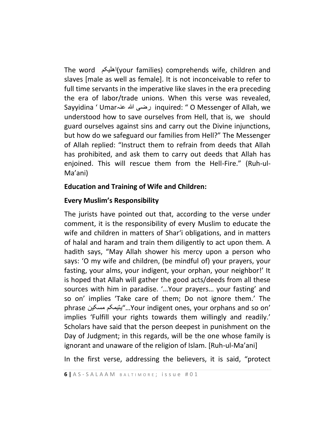The word اھلیکم)your families) comprehends wife, children and slaves [male as well as female]. It is not inconceivable to refer to full time servants in the imperative like slaves in the era preceding the era of labor/trade unions. When this verse was revealed, Sayyidina ' Umarعنہ ہللا رضی inquired: " O Messenger of Allah, we understood how to save ourselves from Hell, that is, we should guard ourselves against sins and carry out the Divine injunctions, but how do we safeguard our families from Hell?" The Messenger of Allah replied: "Instruct them to refrain from deeds that Allah has prohibited, and ask them to carry out deeds that Allah has enjoined. This will rescue them from the Hell-Fire." (Ruh-ul-Ma'ani)

#### **Education and Training of Wife and Children:**

#### **Every Muslim's Responsibility**

The jurists have pointed out that, according to the verse under comment, it is the responsibility of every Muslim to educate the wife and children in matters of Shar'i obligations, and in matters of halal and haram and train them diligently to act upon them. A hadith says, "May Allah shower his mercy upon a person who says: 'O my wife and children, (be mindful of) your prayers, your fasting, your alms, your indigent, your orphan, your neighbor!' It is hoped that Allah will gather the good acts/deeds from all these sources with him in paradise. '…Your prayers… your fasting' and so on' implies 'Take care of them; Do not ignore them.' The phrase مسکین یتیمکم..."Your indigent ones, your orphans and so on' implies 'Fulfill your rights towards them willingly and readily.' Scholars have said that the person deepest in punishment on the Day of Judgment; in this regards, will be the one whose family is ignorant and unaware of the religion of Islam. [Ruh-ul-Ma'ani]

In the first verse, addressing the believers, it is said, "protect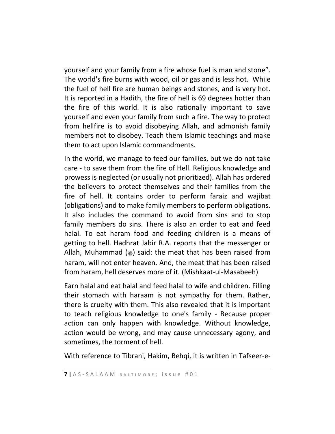yourself and your family from a fire whose fuel is man and stone". The world's fire burns with wood, oil or gas and is less hot. While the fuel of hell fire are human beings and stones, and is very hot. It is reported in a Hadith, the fire of hell is 69 degrees hotter than the fire of this world. It is also rationally important to save yourself and even your family from such a fire. The way to protect from hellfire is to avoid disobeying Allah, and admonish family members not to disobey. Teach them Islamic teachings and make them to act upon Islamic commandments.

In the world, we manage to feed our families, but we do not take care - to save them from the fire of Hell. Religious knowledge and prowess is neglected (or usually not prioritized). Allah has ordered the believers to protect themselves and their families from the fire of hell. It contains order to perform faraiz and wajibat (obligations) and to make family members to perform obligations. It also includes the command to avoid from sins and to stop family members do sins. There is also an order to eat and feed halal. To eat haram food and feeding children is a means of getting to hell. Hadhrat Jabir R.A. reports that the messenger or Allah, Muhammad ( $\bullet$ ) said: the meat that has been raised from haram, will not enter heaven. And, the meat that has been raised from haram, hell deserves more of it. (Mishkaat-ul-Masabeeh)

Earn halal and eat halal and feed halal to wife and children. Filling their stomach with haraam is not sympathy for them. Rather, there is cruelty with them. This also revealed that it is important to teach religious knowledge to one's family - Because proper action can only happen with knowledge. Without knowledge, action would be wrong, and may cause unnecessary agony, and sometimes, the torment of hell.

With reference to Tibrani, Hakim, Behqi, it is written in Tafseer-e-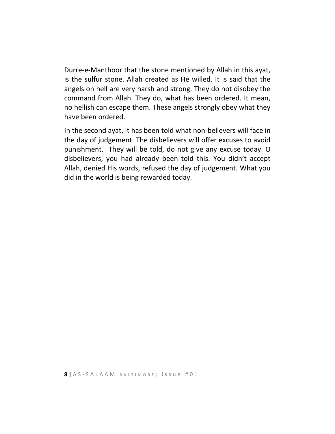Durre-e-Manthoor that the stone mentioned by Allah in this ayat, is the sulfur stone. Allah created as He willed. It is said that the angels on hell are very harsh and strong. They do not disobey the command from Allah. They do, what has been ordered. It mean, no hellish can escape them. These angels strongly obey what they have been ordered.

In the second ayat, it has been told what non-believers will face in the day of judgement. The disbelievers will offer excuses to avoid punishment. They will be told, do not give any excuse today. O disbelievers, you had already been told this. You didn't accept Allah, denied His words, refused the day of judgement. What you did in the world is being rewarded today.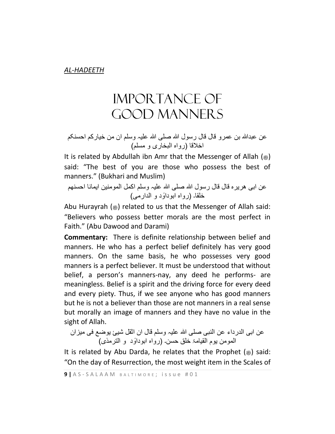# Importance Of Good Manners

عنَ عبدالله بن عمرو قالَ قالَ رسولَ الله صلَّى الله عليہ وسلَّم ان من خيارکم احسنکم اخلاقا (رواہ البخاری و مسلم)

It is related by Abdullah ibn Amr that the Messenger of Allah  $\binom{m}{m}$ said: "The best of you are those who possess the best of manners." (Bukhari and Muslim)

عنَ ابی هريرہ قالَ قالَ رسولَ الله صلَّى الله عليہ وسلَّم اکملَ المومنينَ ايماناَ احسنهم خلقا۔ (رواہ ابوداؤد و الدارمی)

Abu Hurayrah ( $\ast$ ) related to us that the Messenger of Allah said: "Believers who possess better morals are the most perfect in Faith." (Abu Dawood and Darami)

**Commentary:** There is definite relationship between belief and manners. He who has a perfect belief definitely has very good manners. On the same basis, he who possesses very good manners is a perfect believer. It must be understood that without belief, a person's manners-nay, any deed he performs- are meaningless. Belief is a spirit and the driving force for every deed and every piety. Thus, if we see anyone who has good manners but he is not a believer than those are not manners in a real sense but morally an image of manners and they have no value in the sight of Allah.

عنَابیَالدرداءَعنَالنبیَصلیَہللاَعليہَوسلمَقالَانَاثقلَشيئَيوضعَفیَميزانَ ٔو المومنَيومَالقيامۃَخلقَحسن د و الترمذی( ۔ )رواہ ابودا

It is related by Abu Darda, he relates that the Prophet  $(\triangleq)$  said: "On the day of Resurrection, the most weight item in the Scales of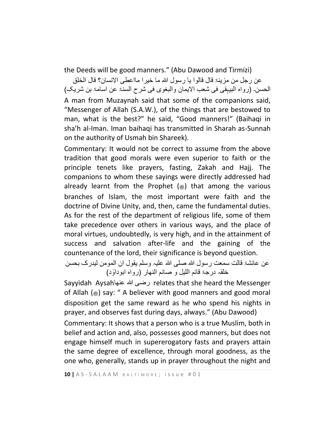the Deeds will be good manners." (Abu Dawood and Tirmizi)

عن رجل من مزينۃ قال قالوا يا رسول الله ما خير اِ مااعطی الانسان؟ قال الخلق الحسن۔ (رواہ البيہقی فی شعب الايمان والبغوی فی شرحِ السنۃ عن اسامۃ بن شريک) A man from Muzaynah said that some of the companions said, "Messenger of Allah (S.A.W.), of the things that are bestowed to man, what is the best?" he said, "Good manners!" (Baihaqi in sha'h al-Iman. Iman baihaqi has transmitted in Sharah as-Sunnah on the authority of Usmah bin Shareek).

Commentary: It would not be correct to assume from the above tradition that good morals were even superior to faith or the principle tenets like prayers, fasting, Zakah and Hajj. The companions to whom these sayings were directly addressed had already learnt from the Prophet  $(*)$  that among the various branches of Islam, the most important were faith and the doctrine of Divine Unity, and, then, came the fundamental duties. As for the rest of the department of religious life, some of them take precedence over others in various ways, and the place of moral virtues, undoubtedly, is very high, and in the attainment of success and salvation after-life and the gaining of the countenance of the lord, their significance is beyond question.

عنِ عائشۃَ قالت سمعت رسول الله صلّٰی الله علیہ وسلّٰم یقولَ ان المومِن ليدرکَب بحسن خلقہ درجۃ قائم اللیل و صائم النھار (رواہ ابوداؤد)

Sayyidah Aysahعنھا ہللا رضی relates that she heard the Messenger of Allah  $(*)$  say: " A believer with good manners and good moral disposition get the same reward as he who spend his nights in prayer, and observes fast during days, always." (Abu Dawood)

Commentary: It shows that a person who is a true Muslim, both in belief and action and, also, possesses good manners, but does not engage himself much in supererogatory fasts and prayers attain the same degree of excellence, through moral goodness, as the one who, generally, stands up in prayer throughout the night and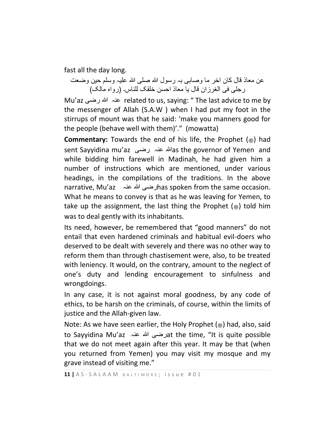fast all the day long.

عنِ معاذِ قالَ کان اخر ما وصابی بہ رسول الله صلَّى الله عليہ وسلَّم حين وضعتَ رجلّی فی الغرزانِ قال یا معاذ احسن خلقک للناس۔ (رواہ مالک)

Mu'az رضی ہللا عنہ related to us, saying: " The last advice to me by the messenger of Allah (S.A.W ) when I had put my foot in the stirrups of mount was that he said: 'make you manners good for the people (behave well with them)'." (mowatta)

**Commentary:** Towards the end of his life, the Prophet ( $\gg$ ) had sent Sayyidina mu'az رضی عنہ ہللاas the governor of Yemen and while bidding him farewell in Madinah, he had given him a number of instructions which are mentioned, under various headings, in the compilations of the traditions. In the above narrative, Mu'az عنہ ہللا رضیhas spoken from the same occasion. What he means to convey is that as he was leaving for Yemen, to take up the assignment, the last thing the Prophet  $(\triangleleft)$  told him was to deal gently with its inhabitants.

Its need, however, be remembered that "good manners" do not entail that even hardened criminals and habitual evil-doers who deserved to be dealt with severely and there was no other way to reform them than through chastisement were, also, to be treated with leniency. It would, on the contrary, amount to the neglect of one's duty and lending encouragement to sinfulness and wrongdoings.

In any case, it is not against moral goodness, by any code of ethics, to be harsh on the criminals, of course, within the limits of justice and the Allah-given law.

Note: As we have seen earlier, the Holy Prophet  $(\triangleq)$  had, also, said to Sayyidina Mu'az عنہ ہللا رضیat the time, "It is quite possible that we do not meet again after this year. It may be that (when you returned from Yemen) you may visit my mosque and my grave instead of visiting me."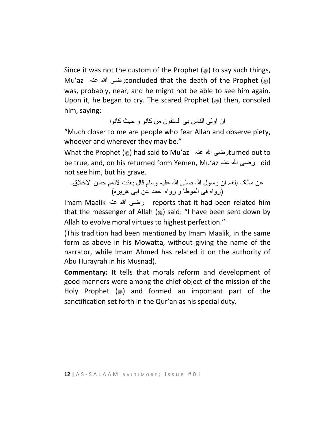Since it was not the custom of the Prophet  $(*)$  to say such things, Mu'az رضی الله عنہ  $\alpha$ concluded that the death of the Prophet ( $\bullet$ ) was, probably, near, and he might not be able to see him again. Upon it, he began to cry. The scared Prophet  $(*)$  then, consoled him, saying:

انَ اولی الناس بے المتقونَ من کانو و حيثَ کانوا

"Much closer to me are people who fear Allah and observe piety, whoever and wherever they may be."

What the Prophet ( صلى الله عليه وسلم (had said to Mu'az عنہ ہللا رضیturned out to be true, and, on his returned form Yemen, Mu'az عنہ ہللا رضی did not see him, but his grave.

عنِ مالک بلغہ ان رسولِ الله صلبی الله عليہ وسلم قال بعثت لاتمم حسن الاخلاق۔ )رواہَفیَالموطاَوَرواہَاحمدَعنَابیَهريرہ(َ

Imam Maalik عنہ ہللا رضی reports that it had been related him that the messenger of Allah ( $\ast$ ) said: "I have been sent down by Allah to evolve moral virtues to highest perfection."

(This tradition had been mentioned by Imam Maalik, in the same form as above in his Mowatta, without giving the name of the narrator, while Imam Ahmed has related it on the authority of Abu Hurayrah in his Musnad).

**Commentary:** It tells that morals reform and development of good manners were among the chief object of the mission of the Holy Prophet  $\left(\frac{1}{20}\right)$  and formed an important part of the sanctification set forth in the Qur'an as his special duty.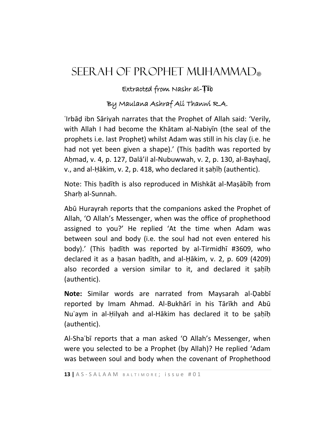# SEERAH OF PROPHET MUHAMMAD.

### Extracted from Nashr al-**Ṭī**b

### By Maulana Ashraf Ali Thanwi R.A.

ʿIrbāḍ ibn Sāriyah narrates that the Prophet of Allah said: 'Verily, with Allah I had become the Khātam al-Nabiyīn (the seal of the prophets i.e. last Prophet) whilst Adam was still in his clay (i.e. he had not yet been given a shape).' (This hadith was reported by Aḥmad, v. 4, p. 127, Dalā'il al-Nubuwwah, v. 2, p. 130, al-Bayhaqī, v., and al-Ḥākim, v. 2, p. 418, who declared it ṣaḥīḥ (authentic).

Note: This ḥadīth is also reproduced in Mishkāt al-Maṣābīḥ from Sharh al-Sunnah.

Abū Hurayrah reports that the companions asked the Prophet of Allah, 'O Allah's Messenger, when was the office of prophethood assigned to you?' He replied 'At the time when Adam was between soul and body (i.e. the soul had not even entered his body).' (This ḥadīth was reported by al-Tirmidhī #3609, who declared it as a ḥasan ḥadīth, and al-Ḥākim, v. 2, p. 609 (4209) also recorded a version similar to it, and declared it ṣaḥīḥ (authentic).

**Note:** Similar words are narrated from Maysarah al-Ḍabbī reported by Imam Ahmad. Al-Bukhārī in his Tārīkh and Abū Nu'aym in al-Hilyah and al-Hākim has declared it to be sahīh (authentic).

Al-Shaʿbī reports that a man asked 'O Allah's Messenger, when were you selected to be a Prophet (by Allah)? He replied 'Adam was between soul and body when the covenant of Prophethood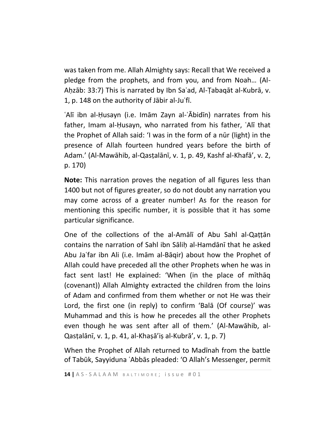was taken from me. Allah Almighty says: Recall that We received a pledge from the prophets, and from you, and from Noah… (Al-Aḥzāb: 33:7) This is narrated by Ibn Saʿad, Al-Ṭabaqāt al-Kubrā, v. 1, p. 148 on the authority of Jābir al-Juʿfī.

ʿAlī ibn al-Ḥusayn (i.e. Imām Zayn al-ʿĀbidīn) narrates from his father, Imam al-Ḥusayn, who narrated from his father, ʿAlī that the Prophet of Allah said: 'I was in the form of a nūr (light) in the presence of Allah fourteen hundred years before the birth of Adam.' (Al-Mawāhib, al-Qasṭalānī, v. 1, p. 49, Kashf al-Khafā', v. 2, p. 170)

**Note:** This narration proves the negation of all figures less than 1400 but not of figures greater, so do not doubt any narration you may come across of a greater number! As for the reason for mentioning this specific number, it is possible that it has some particular significance.

One of the collections of the al-Amālī of Abu Sahl al-Qaṭṭān contains the narration of Sahl ibn Sāliḥ al-Hamdānī that he asked Abu Jaʿfar ibn Ali (i.e. Imām al-Bāqir) about how the Prophet of Allah could have preceded all the other Prophets when he was in fact sent last! He explained: 'When (in the place of mīthāq (covenant)) Allah Almighty extracted the children from the loins of Adam and confirmed from them whether or not He was their Lord, the first one (in reply) to confirm 'Balā (Of course)' was Muhammad and this is how he precedes all the other Prophets even though he was sent after all of them.' (Al-Mawāhib, al-Qasṭalānī, v. 1, p. 41, al-Khaṣā'iṣ al-Kubrā', v. 1, p. 7)

When the Prophet of Allah returned to Madīnah from the battle of Tabūk, Sayyiduna ʿAbbās pleaded: 'O Allah's Messenger, permit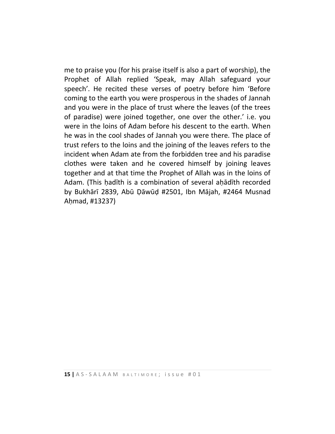me to praise you (for his praise itself is also a part of worship), the Prophet of Allah replied 'Speak, may Allah safeguard your speech'. He recited these verses of poetry before him 'Before coming to the earth you were prosperous in the shades of Jannah and you were in the place of trust where the leaves (of the trees of paradise) were joined together, one over the other.' i.e. you were in the loins of Adam before his descent to the earth. When he was in the cool shades of Jannah you were there. The place of trust refers to the loins and the joining of the leaves refers to the incident when Adam ate from the forbidden tree and his paradise clothes were taken and he covered himself by joining leaves together and at that time the Prophet of Allah was in the loins of Adam. (This ḥadīth is a combination of several aḥādīth recorded by Bukhārī 2839, Abū Ḍāwūḍ #2501, Ibn Mājah, #2464 Musnad Aḥmad, #13237)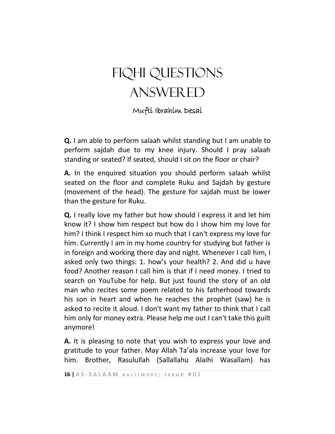# fiqhi questions answered

Mufti Ibrahim Desai

**Q.** I am able to perform salaah whilst standing but I am unable to perform sajdah due to my knee injury. Should I pray salaah standing or seated? If seated, should I sit on the floor or chair?

**A.** In the enquired situation you should perform salaah whilst seated on the floor and complete Ruku and Sajdah by gesture (movement of the head). The gesture for sajdah must be lower than the gesture for Ruku.

**Q.** I really love my father but how should I express it and let him know it? I show him respect but how do I show him my love for him? I think I respect him so much that I can't express my love for him. Currently I am in my home country for studying but father is in foreign and working there day and night. Whenever I call him, I asked only two things: 1. how's your health? 2. And did u have food? Another reason I call him is that if I need money. I tried to search on YouTube for help. But just found the story of an old man who recites some poem related to his fatherhood towards his son in heart and when he reaches the prophet (saw) he is asked to recite it aloud. I don't want my father to think that I call him only for money extra. Please help me out I can't take this guilt anymore!

**A.** It is pleasing to note that you wish to express your love and gratitude to your father. May Allah Ta'ala increase your love for him. Brother, Rasulullah (Sallallahu Alaihi Wasallam) has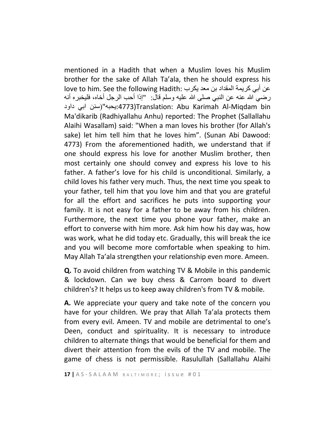mentioned in a Hadith that when a Muslim loves his Muslim brother for the sake of Allah Ta'ala, then he should express his عن أبي كريمة المقداد بن معد يكرب :love to him. See the following Hadith رضي الله عنه عن النبي صلى الله عليه وسلم قال: "إذا أحب الرجل أخاه، فليخبره أنه داود ابي سنن")یحبه:4773(Translation: Abu Karimah Al-Miqdam bin Ma'dikarib (Radhiyallahu Anhu) reported: The Prophet (Sallallahu Alaihi Wasallam) said: "When a man loves his brother (for Allah's sake) let him tell him that he loves him". (Sunan Abi Dawood: 4773) From the aforementioned hadith, we understand that if one should express his love for another Muslim brother, then most certainly one should convey and express his love to his father. A father's love for his child is unconditional. Similarly, a child loves his father very much. Thus, the next time you speak to your father, tell him that you love him and that you are grateful for all the effort and sacrifices he puts into supporting your family. It is not easy for a father to be away from his children. Furthermore, the next time you phone your father, make an effort to converse with him more. Ask him how his day was, how was work, what he did today etc. Gradually, this will break the ice and you will become more comfortable when speaking to him. May Allah Ta'ala strengthen your relationship even more. Ameen.

**Q.** To avoid children from watching TV & Mobile in this pandemic & lockdown. Can we buy chess & Carrom board to divert children's? It helps us to keep away children's from TV & mobile.

**A.** We appreciate your query and take note of the concern you have for your children. We pray that Allah Ta'ala protects them from every evil. Ameen. TV and mobile are detrimental to one's Deen, conduct and spirituality. It is necessary to introduce children to alternate things that would be beneficial for them and divert their attention from the evils of the TV and mobile. The game of chess is not permissible. Rasulullah (Sallallahu Alaihi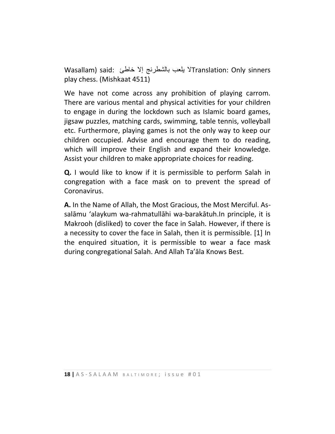sinners Only :Translationال یلعب بالشطرنج إال خاطئ :said) Wasallam play chess. (Mishkaat 4511)

We have not come across any prohibition of playing carrom. There are various mental and physical activities for your children to engage in during the lockdown such as Islamic board games, jigsaw puzzles, matching cards, swimming, table tennis, volleyball etc. Furthermore, playing games is not the only way to keep our children occupied. Advise and encourage them to do reading, which will improve their English and expand their knowledge. Assist your children to make appropriate choices for reading.

**Q.** I would like to know if it is permissible to perform Salah in congregation with a face mask on to prevent the spread of Coronavirus.

**A.** In the Name of Allah, the Most Gracious, the Most Merciful. Assalāmu 'alaykum wa-rahmatullāhi wa-barakātuh.In principle, it is Makrooh (disliked) to cover the face in Salah. However, if there is a necessity to cover the face in Salah, then it is permissible. [1] In the enquired situation, it is permissible to wear a face mask during congregational Salah. And Allah Ta'āla Knows Best.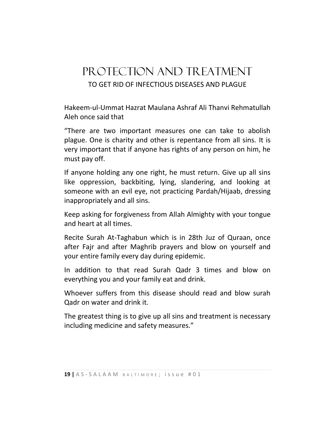# PROTECTION AND TREATMENT TO GET RID OF INFECTIOUS DISEASES AND PLAGUE

Hakeem-ul-Ummat Hazrat Maulana Ashraf Ali Thanvi Rehmatullah Aleh once said that

"There are two important measures one can take to abolish plague. One is charity and other is repentance from all sins. It is very important that if anyone has rights of any person on him, he must pay off.

If anyone holding any one right, he must return. Give up all sins like oppression, backbiting, lying, slandering, and looking at someone with an evil eye, not practicing Pardah/Hijaab, dressing inappropriately and all sins.

Keep asking for forgiveness from Allah Almighty with your tongue and heart at all times.

Recite Surah At-Taghabun which is in 28th Juz of Quraan, once after Fajr and after Maghrib prayers and blow on yourself and your entire family every day during epidemic.

In addition to that read Surah Qadr 3 times and blow on everything you and your family eat and drink.

Whoever suffers from this disease should read and blow surah Qadr on water and drink it.

The greatest thing is to give up all sins and treatment is necessary including medicine and safety measures."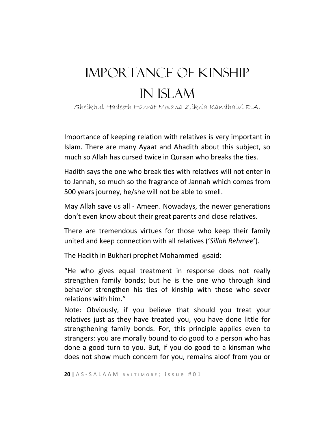# Importance of kinship in Islam

Sheikhul Hadeeth Hazrat Molana Zikria Kandhalvi R.A.

Importance of keeping relation with relatives is very important in Islam. There are many Ayaat and Ahadith about this subject, so much so Allah has cursed twice in Quraan who breaks the ties.

Hadith says the one who break ties with relatives will not enter in to Jannah, so much so the fragrance of Jannah which comes from 500 years journey, he/she will not be able to smell.

May Allah save us all - Ameen. Nowadays, the newer generations don't even know about their great parents and close relatives.

There are tremendous virtues for those who keep their family united and keep connection with all relatives ('*Sillah Rehmee*').

The Hadith in Bukhari prophet Mohammed  $\equiv$ said:

"He who gives equal treatment in response does not really strengthen family bonds; but he is the one who through kind behavior strengthen his ties of kinship with those who sever relations with him."

Note: Obviously, if you believe that should you treat your relatives just as they have treated you, you have done little for strengthening family bonds. For, this principle applies even to strangers: you are morally bound to do good to a person who has done a good turn to you. But, if you do good to a kinsman who does not show much concern for you, remains aloof from you or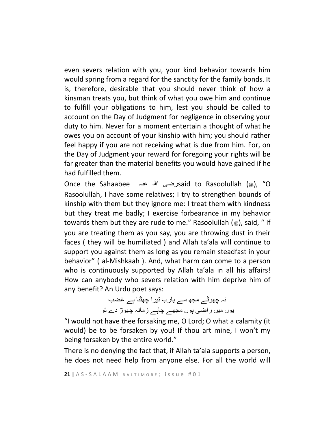even severs relation with you, your kind behavior towards him would spring from a regard for the sanctity for the family bonds. It is, therefore, desirable that you should never think of how a kinsman treats you, but think of what you owe him and continue to fulfill your obligations to him, lest you should be called to account on the Day of Judgment for negligence in observing your duty to him. Never for a moment entertain a thought of what he owes you on account of your kinship with him; you should rather feel happy if you are not receiving what is due from him. For, on the Day of Judgment your reward for foregoing your rights will be far greater than the material benefits you would have gained if he had fulfilled them.

Once the Sahaabee عنہ ہللا رضیsaid to Rasoolullah ( صلى الله عليه وسلم(," O Rasoolullah, I have some relatives; I try to strengthen bounds of kinship with them but they ignore me: I treat them with kindness but they treat me badly; I exercise forbearance in my behavior towards them but they are rude to me." Rasoolullah ( $\epsilon$ ), said, " If you are treating them as you say, you are throwing dust in their faces ( they will be humiliated ) and Allah ta'ala will continue to support you against them as long as you remain steadfast in your behavior" ( al-Mishkaah ). And, what harm can come to a person who is continuously supported by Allah ta'ala in all his affairs! How can anybody who severs relation with him deprive him of any benefit? An Urdu poet says:

> نہ چھوٹے مجھ سے یارب تیرا چھٹنا ہے غضب یوں میں راضی ہوں مجھے چاہے زمانہ چھوڑ دے تو

"I would not have thee forsaking me, O Lord; O what a calamity (it would) be to be forsaken by you! If thou art mine, I won't my being forsaken by the entire world."

There is no denying the fact that, if Allah ta'ala supports a person, he does not need help from anyone else. For all the world will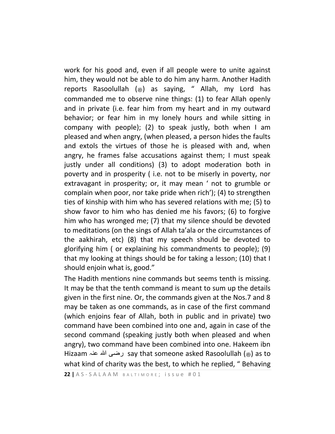work for his good and, even if all people were to unite against him, they would not be able to do him any harm. Another Hadith reports Rasoolullah () as saying, " Allah, my Lord has commanded me to observe nine things: (1) to fear Allah openly and in private (i.e. fear him from my heart and in my outward behavior; or fear him in my lonely hours and while sitting in company with people); (2) to speak justly, both when I am pleased and when angry, (when pleased, a person hides the faults and extols the virtues of those he is pleased with and, when angry, he frames false accusations against them; I must speak justly under all conditions) (3) to adopt moderation both in poverty and in prosperity ( i.e. not to be miserly in poverty, nor extravagant in prosperity; or, it may mean ' not to grumble or complain when poor, nor take pride when rich'); (4) to strengthen ties of kinship with him who has severed relations with me; (5) to show favor to him who has denied me his favors; (6) to forgive him who has wronged me; (7) that my silence should be devoted to meditations (on the sings of Allah ta'ala or the circumstances of the aakhirah, etc) (8) that my speech should be devoted to glorifying him ( or explaining his commandments to people); (9) that my looking at things should be for taking a lesson; (10) that I should enjoin what is, good."

The Hadith mentions nine commands but seems tenth is missing. It may be that the tenth command is meant to sum up the details given in the first nine. Or, the commands given at the Nos.7 and 8 may be taken as one commands, as in case of the first command (which enjoins fear of Allah, both in public and in private) two command have been combined into one and, again in case of the second command (speaking justly both when pleased and when angry), two command have been combined into one. Hakeem ibn Hizaam رضی الله عنہ hizaam رضی الله عنہ ہیں الله عنہ (as to what kind of charity was the best, to which he replied, " Behaving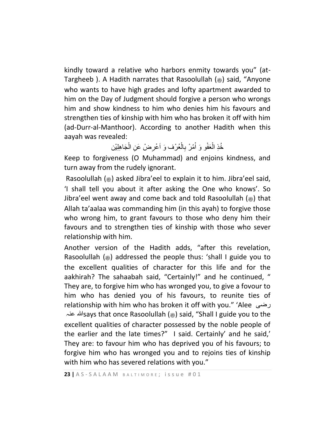kindly toward a relative who harbors enmity towards you" (at-Targheeb ). A Hadith narrates that Rasoolullah (صلى الله عليه وسلم (said, "Anyone who wants to have high grades and lofty apartment awarded to him on the Day of Judgment should forgive a person who wrongs him and show kindness to him who denies him his favours and strengthen ties of kinship with him who has broken it off with him (ad-Durr-al-Manthoor). According to another Hadith when this aayah was revealed:

> خُذِ الْعَفْو وَ أَمْرْ بِالْعُرْف وَ اَعْرِضْ عَنِ الْجَاهِلِيْن ْ ِ ْ ْ ْ

Keep to forgiveness (O Muhammad) and enjoins kindness, and turn away from the rudely ignorant.

Rasoolullah  $(*)$  asked Jibra'eel to explain it to him. Jibra'eel said, 'I shall tell you about it after asking the One who knows'. So Jibra'eel went away and come back and told Rasoolullah  $(\triangleq)$  that Allah ta'aalaa was commanding him (in this ayah) to forgive those who wrong him, to grant favours to those who deny him their favours and to strengthen ties of kinship with those who sever relationship with him.

Another version of the Hadith adds, "after this revelation, Rasoolullah  $(\ast)$  addressed the people thus: 'shall I guide you to the excellent qualities of character for this life and for the aakhirah? The sahaabah said, "Certainly!" and he continued, " They are, to forgive him who has wronged you, to give a fovour to him who has denied you of his favours, to reunite ties of relationship with him who has broken it off with you." 'Alee رضی عنہ ہللاsays that once Rasoolullah (صلى الله عليه وسلم (said, "Shall I guide you to the excellent qualities of character possessed by the noble people of the earlier and the late times?" I said. Certainly' and he said,' They are: to favour him who has deprived you of his favours; to forgive him who has wronged you and to rejoins ties of kinship with him who has severed relations with you."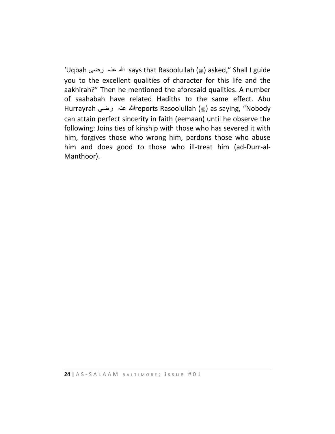'Uqbah رضی عنہ ہللا says that Rasoolullah (صلى الله عليه وسلم (asked," Shall I guide you to the excellent qualities of character for this life and the aakhirah?" Then he mentioned the aforesaid qualities. A number of saahabah have related Hadiths to the same effect. Abu Hurrayrah رضی عنہ ہللاreports Rasoolullah (صلى الله عليه وسلم (as saying, "Nobody can attain perfect sincerity in faith (eemaan) until he observe the following: Joins ties of kinship with those who has severed it with him, forgives those who wrong him, pardons those who abuse him and does good to those who ill-treat him (ad-Durr-al-Manthoor).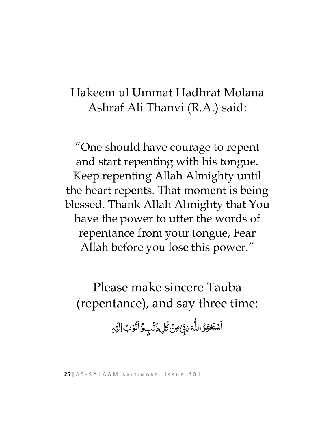# Hakeem ul Ummat Hadhrat Molana Ashraf Ali Thanvi (R.A.) said:

"One should have courage to repent and start repenting with his tongue. Keep repenting Allah Almighty until the heart repents. That moment is being blessed. Thank Allah Almighty that You have the power to utter the words of repentance from your tongue, Fear Allah before you lose this power."

Please make sincere Tauba (repentance), and say three time:

> َ اَسۡتَغۡفِرُ اللّٰہَ <sub>كَبِ</sub>ّحۡ ر<br>( پَ<br>س ِ<br>أ *بَ*ذِّیۡ ۖ مِنۡ کُلِ ذَنۡبِ وِّ اَتَّوۡبُ  $\ddot{\cdot}$ **گا** ۔<br>آ ۯ<br>ڒ دِّ <u>ُ</u> وٌاَتُوۡبُ اِلۡیَمِ لَبَّةٍ<br>الجنوبية نه<br>پېښه ل ا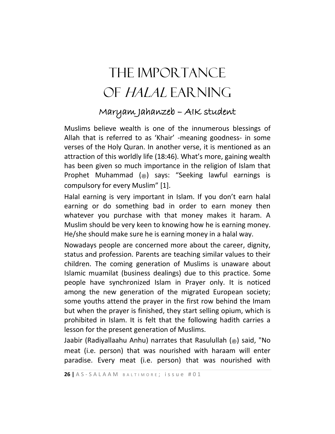# The importance of Halal earning

## Maryam Jahanzeb – AIK student

Muslims believe wealth is one of the innumerous blessings of Allah that is referred to as 'Khair' -meaning goodness- in some verses of the Holy Quran. In another verse, it is mentioned as an attraction of this worldly life (18:46). What's more, gaining wealth has been given so much importance in the religion of Islam that Prophet Muhammad (.) says: "Seeking lawful earnings is compulsory for every Muslim" [1].

Halal earning is very important in Islam. If you don't earn halal earning or do something bad in order to earn money then whatever you purchase with that money makes it haram. A Muslim should be very keen to knowing how he is earning money. He/she should make sure he is earning money in a halal way.

Nowadays people are concerned more about the career, dignity, status and profession. Parents are teaching similar values to their children. The coming generation of Muslims is unaware about Islamic muamilat (business dealings) due to this practice. Some people have synchronized Islam in Prayer only. It is noticed among the new generation of the migrated European society; some youths attend the prayer in the first row behind the Imam but when the prayer is finished, they start selling opium, which is prohibited in Islam. It is felt that the following hadith carries a lesson for the present generation of Muslims.

Jaabir (Radiyallaahu Anhu) narrates that Rasulullah (1) said, "No meat (i.e. person) that was nourished with haraam will enter paradise. Every meat (i.e. person) that was nourished with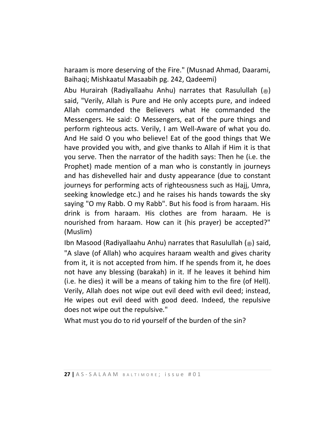haraam is more deserving of the Fire." (Musnad Ahmad, Daarami, Baihaqi; Mishkaatul Masaabih pg. 242, Qadeemi)

Abu Hurairah (Radiyallaahu Anhu) narrates that Rasulullah ( $\ast$ ) said, "Verily, Allah is Pure and He only accepts pure, and indeed Allah commanded the Believers what He commanded the Messengers. He said: O Messengers, eat of the pure things and perform righteous acts. Verily, I am Well-Aware of what you do. And He said O you who believe! Eat of the good things that We have provided you with, and give thanks to Allah if Him it is that you serve. Then the narrator of the hadith says: Then he (i.e. the Prophet) made mention of a man who is constantly in journeys and has dishevelled hair and dusty appearance (due to constant journeys for performing acts of righteousness such as Hajj, Umra, seeking knowledge etc.) and he raises his hands towards the sky saying "O my Rabb. O my Rabb". But his food is from haraam. His drink is from haraam. His clothes are from haraam. He is nourished from haraam. How can it (his prayer) be accepted?" (Muslim)

Ibn Masood (Radiyallaahu Anhu) narrates that Rasulullah (19) said, "A slave (of Allah) who acquires haraam wealth and gives charity from it, it is not accepted from him. If he spends from it, he does not have any blessing (barakah) in it. If he leaves it behind him (i.e. he dies) it will be a means of taking him to the fire (of Hell). Verily, Allah does not wipe out evil deed with evil deed; instead, He wipes out evil deed with good deed. Indeed, the repulsive does not wipe out the repulsive."

What must you do to rid yourself of the burden of the sin?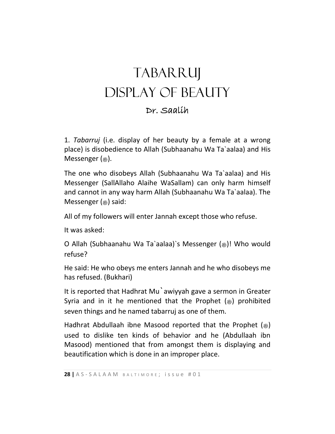# TABARRUJ Display of Beauty

### Dr. Saalih

1. *Tabarruj* (i.e. display of her beauty by a female at a wrong place) is disobedience to Allah (Subhaanahu Wa Ta`aalaa) and His Messenger  $(\triangleleft)$ .

The one who disobeys Allah (Subhaanahu Wa Ta`aalaa) and His Messenger (SallAllaho Alaihe WaSallam) can only harm himself and cannot in any way harm Allah (Subhaanahu Wa Ta`aalaa). The Messenger  $(\circledast)$  said:

All of my followers will enter Jannah except those who refuse.

It was asked:

O Allah (Subhaanahu Wa Ta`aalaa)`s Messenger (صلى الله عليه وسلم !(Who would refuse?

He said: He who obeys me enters Jannah and he who disobeys me has refused. (Bukhari)

It is reported that Hadhrat Mu`awiyyah gave a sermon in Greater Syria and in it he mentioned that the Prophet  $(*)$  prohibited seven things and he named tabarruj as one of them.

Hadhrat Abdullaah ibne Masood reported that the Prophet  $(\triangleq)$ used to dislike ten kinds of behavior and he (Abdullaah ibn Masood) mentioned that from amongst them is displaying and beautification which is done in an improper place.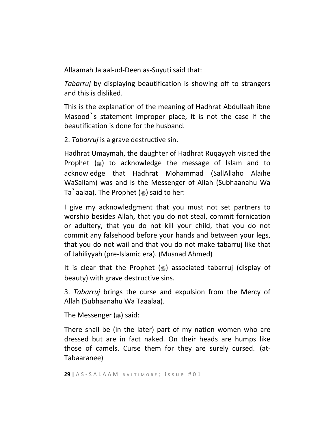Allaamah Jalaal-ud-Deen as-Suyuti said that:

*Tabarruj* by displaying beautification is showing off to strangers and this is disliked.

This is the explanation of the meaning of Hadhrat Abdullaah ibne Masood`s statement improper place, it is not the case if the beautification is done for the husband.

2. *Tabarruj* is a grave destructive sin.

Hadhrat Umaymah, the daughter of Hadhrat Ruqayyah visited the Prophet  $(*)$  to acknowledge the message of Islam and to acknowledge that Hadhrat Mohammad (SallAllaho Alaihe WaSallam) was and is the Messenger of Allah (Subhaanahu Wa Ta`aalaa). The Prophet  $(*)$  said to her:

I give my acknowledgment that you must not set partners to worship besides Allah, that you do not steal, commit fornication or adultery, that you do not kill your child, that you do not commit any falsehood before your hands and between your legs, that you do not wail and that you do not make tabarruj like that of Jahiliyyah (pre-Islamic era). (Musnad Ahmed)

It is clear that the Prophet  $(*)$  associated tabarruj (display of beauty) with grave destructive sins.

3. *Tabarruj* brings the curse and expulsion from the Mercy of Allah (Subhaanahu Wa Taaalaa).

The Messenger  $(\circledast)$  said:

There shall be (in the later) part of my nation women who are dressed but are in fact naked. On their heads are humps like those of camels. Curse them for they are surely cursed. (at-Tabaaranee)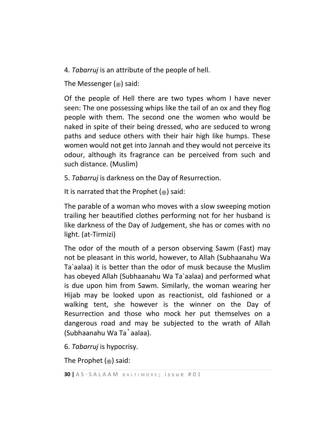4. *Tabarruj* is an attribute of the people of hell.

The Messenger  $(\circledast)$  said:

Of the people of Hell there are two types whom I have never seen: The one possessing whips like the tail of an ox and they flog people with them. The second one the women who would be naked in spite of their being dressed, who are seduced to wrong paths and seduce others with their hair high like humps. These women would not get into Jannah and they would not perceive its odour, although its fragrance can be perceived from such and such distance. (Muslim)

5. *Tabarruj* is darkness on the Day of Resurrection.

It is narrated that the Prophet  $(*)$  said:

The parable of a woman who moves with a slow sweeping motion trailing her beautified clothes performing not for her husband is like darkness of the Day of Judgement, she has or comes with no light. (at-Tirmizi)

The odor of the mouth of a person observing Sawm (Fast) may not be pleasant in this world, however, to Allah (Subhaanahu Wa Ta`aalaa) it is better than the odor of musk because the Muslim has obeyed Allah (Subhaanahu Wa Ta`aalaa) and performed what is due upon him from Sawm. Similarly, the woman wearing her Hijab may be looked upon as reactionist, old fashioned or a walking tent, she however is the winner on the Day of Resurrection and those who mock her put themselves on a dangerous road and may be subjected to the wrath of Allah (Subhaanahu Wa Ta`aalaa).

6. *Tabarruj* is hypocrisy.

The Prophet  $(\triangleq)$  said: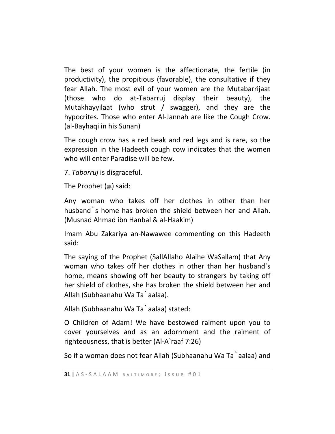The best of your women is the affectionate, the fertile (in productivity), the propitious (favorable), the consultative if they fear Allah. The most evil of your women are the Mutabarrijaat (those who do at-Tabarruj display their beauty), the Mutakhayyilaat (who strut / swagger), and they are the hypocrites. Those who enter Al-Jannah are like the Cough Crow. (al-Bayhaqi in his Sunan)

The cough crow has a red beak and red legs and is rare, so the expression in the Hadeeth cough cow indicates that the women who will enter Paradise will be few.

7. *Tabarruj* is disgraceful.

The Prophet  $(\circledast)$  said:

Any woman who takes off her clothes in other than her husband`s home has broken the shield between her and Allah. (Musnad Ahmad ibn Hanbal & al-Haakim)

Imam Abu Zakariya an-Nawawee commenting on this Hadeeth said:

The saying of the Prophet (SallAllaho Alaihe WaSallam) that Any woman who takes off her clothes in other than her husband`s home, means showing off her beauty to strangers by taking off her shield of clothes, she has broken the shield between her and Allah (Subhaanahu Wa Ta`aalaa).

Allah (Subhaanahu Wa Ta`aalaa) stated:

O Children of Adam! We have bestowed raiment upon you to cover yourselves and as an adornment and the raiment of righteousness, that is better (Al-A`raaf 7:26)

So if a woman does not fear Allah (Subhaanahu Wa Ta`aalaa) and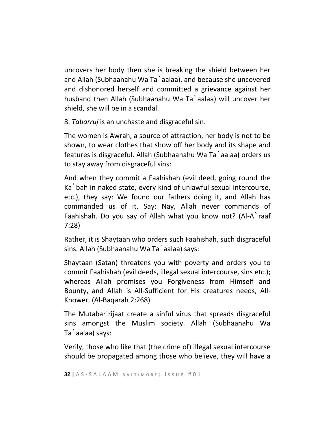uncovers her body then she is breaking the shield between her and Allah (Subhaanahu Wa Ta`aalaa), and because she uncovered and dishonored herself and committed a grievance against her husband then Allah (Subhaanahu Wa Ta`aalaa) will uncover her shield, she will be in a scandal.

8. *Tabarruj* is an unchaste and disgraceful sin.

The women is Awrah, a source of attraction, her body is not to be shown, to wear clothes that show off her body and its shape and features is disgraceful. Allah (Subhaanahu Wa Ta`aalaa) orders us to stay away from disgraceful sins:

And when they commit a Faahishah (evil deed, going round the Ka`bah in naked state, every kind of unlawful sexual intercourse, etc.), they say: We found our fathers doing it, and Allah has commanded us of it. Say: Nay, Allah never commands of Faahishah. Do you say of Allah what you know not? (Al-A`raaf 7:28)

Rather, it is Shaytaan who orders such Faahishah, such disgraceful sins. Allah (Subhaanahu Wa Ta`aalaa) says:

Shaytaan (Satan) threatens you with poverty and orders you to commit Faahishah (evil deeds, illegal sexual intercourse, sins etc.); whereas Allah promises you Forgiveness from Himself and Bounty, and Allah is All-Sufficient for His creatures needs, All-Knower. (Al-Baqarah 2:268)

The Mutabar`rijaat create a sinful virus that spreads disgraceful sins amongst the Muslim society. Allah (Subhaanahu Wa Ta`aalaa) says:

Verily, those who like that (the crime of) illegal sexual intercourse should be propagated among those who believe, they will have a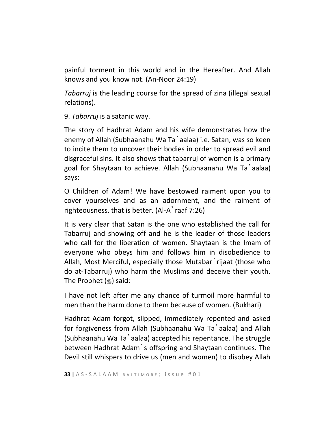painful torment in this world and in the Hereafter. And Allah knows and you know not. (An-Noor 24:19)

*Tabarruj* is the leading course for the spread of zina (illegal sexual relations).

9. *Tabarruj* is a satanic way.

The story of Hadhrat Adam and his wife demonstrates how the enemy of Allah (Subhaanahu Wa Ta`aalaa) i.e. Satan, was so keen to incite them to uncover their bodies in order to spread evil and disgraceful sins. It also shows that tabarruj of women is a primary goal for Shaytaan to achieve. Allah (Subhaanahu Wa Ta`aalaa) says:

O Children of Adam! We have bestowed raiment upon you to cover yourselves and as an adornment, and the raiment of righteousness, that is better. (Al-A`raaf 7:26)

It is very clear that Satan is the one who established the call for Tabarruj and showing off and he is the leader of those leaders who call for the liberation of women. Shaytaan is the Imam of everyone who obeys him and follows him in disobedience to Allah, Most Merciful, especially those Mutabar rijaat (those who do at-Tabarruj) who harm the Muslims and deceive their youth. The Prophet (.) said:

I have not left after me any chance of turmoil more harmful to men than the harm done to them because of women. (Bukhari)

Hadhrat Adam forgot, slipped, immediately repented and asked for forgiveness from Allah (Subhaanahu Wa Ta`aalaa) and Allah (Subhaanahu Wa Ta`aalaa) accepted his repentance. The struggle between Hadhrat Adam`s offspring and Shaytaan continues. The Devil still whispers to drive us (men and women) to disobey Allah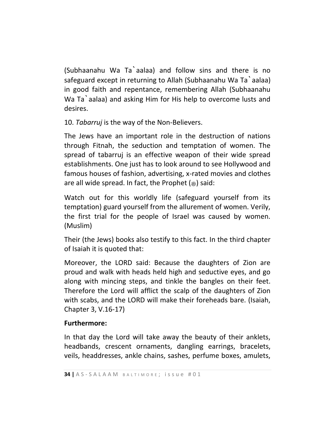(Subhaanahu Wa Ta`aalaa) and follow sins and there is no safeguard except in returning to Allah (Subhaanahu Wa Ta`aalaa) in good faith and repentance, remembering Allah (Subhaanahu Wa Ta`aalaa) and asking Him for His help to overcome lusts and desires.

10. *Tabarruj* is the way of the Non-Believers.

The Jews have an important role in the destruction of nations through Fitnah, the seduction and temptation of women. The spread of tabarruj is an effective weapon of their wide spread establishments. One just has to look around to see Hollywood and famous houses of fashion, advertising, x-rated movies and clothes are all wide spread. In fact, the Prophet  $(\triangleleft)$  said:

Watch out for this worldly life (safeguard yourself from its temptation) guard yourself from the allurement of women. Verily, the first trial for the people of Israel was caused by women. (Muslim)

Their (the Jews) books also testify to this fact. In the third chapter of Isaiah it is quoted that:

Moreover, the LORD said: Because the daughters of Zion are proud and walk with heads held high and seductive eyes, and go along with mincing steps, and tinkle the bangles on their feet. Therefore the Lord will afflict the scalp of the daughters of Zion with scabs, and the LORD will make their foreheads bare. (Isaiah, Chapter 3, V.16-17)

#### **Furthermore:**

In that day the Lord will take away the beauty of their anklets, headbands, crescent ornaments, dangling earrings, bracelets, veils, headdresses, ankle chains, sashes, perfume boxes, amulets,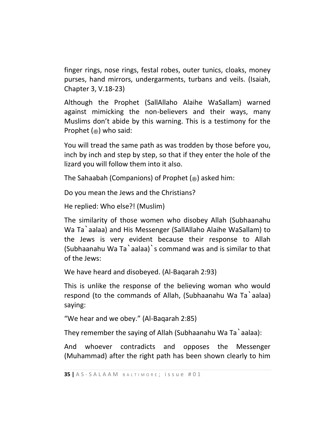finger rings, nose rings, festal robes, outer tunics, cloaks, money purses, hand mirrors, undergarments, turbans and veils. (Isaiah, Chapter 3, V.18-23)

Although the Prophet (SallAllaho Alaihe WaSallam) warned against mimicking the non-believers and their ways, many Muslims don't abide by this warning. This is a testimony for the Prophet  $(\triangleq)$  who said:

You will tread the same path as was trodden by those before you, inch by inch and step by step, so that if they enter the hole of the lizard you will follow them into it also.

The Sahaabah (Companions) of Prophet  $(\triangle)$  asked him:

Do you mean the Jews and the Christians?

He replied: Who else?! (Muslim)

The similarity of those women who disobey Allah (Subhaanahu Wa Ta`aalaa) and His Messenger (SallAllaho Alaihe WaSallam) to the Jews is very evident because their response to Allah (Subhaanahu Wa Ta`aalaa)`s command was and is similar to that of the Jews:

We have heard and disobeyed. (Al-Baqarah 2:93)

This is unlike the response of the believing woman who would respond (to the commands of Allah, (Subhaanahu Wa Ta`aalaa) saying:

"We hear and we obey." (Al-Baqarah 2:85)

They remember the saying of Allah (Subhaanahu Wa Ta`aalaa):

And whoever contradicts and opposes the Messenger (Muhammad) after the right path has been shown clearly to him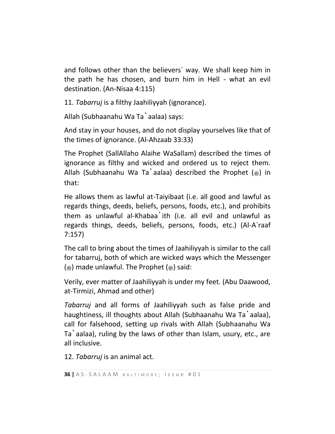and follows other than the believers` way. We shall keep him in the path he has chosen, and burn him in Hell - what an evil destination. (An-Nisaa 4:115)

11. *Tabarruj* is a filthy Jaahiliyyah (ignorance).

Allah (Subhaanahu Wa Ta`aalaa) says:

And stay in your houses, and do not display yourselves like that of the times of ignorance. (Al-Ahzaab 33:33)

The Prophet (SallAllaho Alaihe WaSallam) described the times of ignorance as filthy and wicked and ordered us to reject them. Allah (Subhaanahu Wa Ta`aalaa) described the Prophet  $(*)$  in that:

He allows them as lawful at-Taiyibaat (i.e. all good and lawful as regards things, deeds, beliefs, persons, foods, etc.), and prohibits them as unlawful al-Khabaa`ith (i.e. all evil and unlawful as regards things, deeds, beliefs, persons, foods, etc.) (Al-A`raaf 7:157)

The call to bring about the times of Jaahiliyyah is similar to the call for tabarruj, both of which are wicked ways which the Messenger ( $\circledast$ ) made unlawful. The Prophet ( $\circledast$ ) said:

Verily, ever matter of Jaahiliyyah is under my feet. (Abu Daawood, at-Tirmizi, Ahmad and other)

*Tabarruj* and all forms of Jaahiliyyah such as false pride and haughtiness, ill thoughts about Allah (Subhaanahu Wa Ta`aalaa), call for falsehood, setting up rivals with Allah (Subhaanahu Wa Ta`aalaa), ruling by the laws of other than Islam, usury, etc., are all inclusive.

12. *Tabarruj* is an animal act.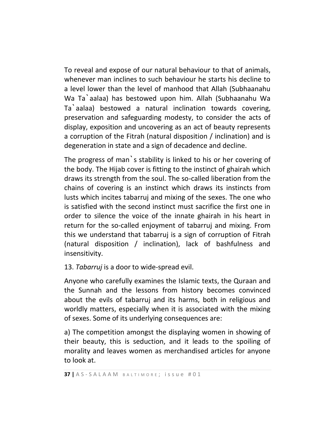To reveal and expose of our natural behaviour to that of animals, whenever man inclines to such behaviour he starts his decline to a level lower than the level of manhood that Allah (Subhaanahu Wa Ta`aalaa) has bestowed upon him. Allah (Subhaanahu Wa Ta`aalaa) bestowed a natural inclination towards covering, preservation and safeguarding modesty, to consider the acts of display, exposition and uncovering as an act of beauty represents a corruption of the Fitrah (natural disposition / inclination) and is degeneration in state and a sign of decadence and decline.

The progress of man`s stability is linked to his or her covering of the body. The Hijab cover is fitting to the instinct of ghairah which draws its strength from the soul. The so-called liberation from the chains of covering is an instinct which draws its instincts from lusts which incites tabarruj and mixing of the sexes. The one who is satisfied with the second instinct must sacrifice the first one in order to silence the voice of the innate ghairah in his heart in return for the so-called enjoyment of tabarruj and mixing. From this we understand that tabarruj is a sign of corruption of Fitrah (natural disposition / inclination), lack of bashfulness and insensitivity.

13. *Tabarruj* is a door to wide-spread evil.

Anyone who carefully examines the Islamic texts, the Quraan and the Sunnah and the lessons from history becomes convinced about the evils of tabarruj and its harms, both in religious and worldly matters, especially when it is associated with the mixing of sexes. Some of its underlying consequences are:

a) The competition amongst the displaying women in showing of their beauty, this is seduction, and it leads to the spoiling of morality and leaves women as merchandised articles for anyone to look at.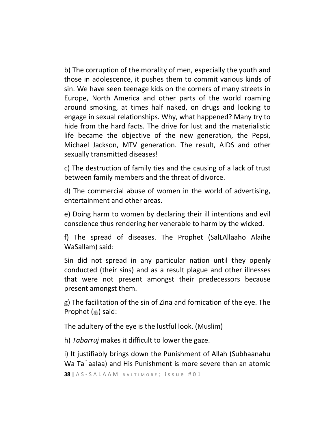b) The corruption of the morality of men, especially the youth and those in adolescence, it pushes them to commit various kinds of sin. We have seen teenage kids on the corners of many streets in Europe, North America and other parts of the world roaming around smoking, at times half naked, on drugs and looking to engage in sexual relationships. Why, what happened? Many try to hide from the hard facts. The drive for lust and the materialistic life became the objective of the new generation, the Pepsi, Michael Jackson, MTV generation. The result, AIDS and other sexually transmitted diseases!

c) The destruction of family ties and the causing of a lack of trust between family members and the threat of divorce.

d) The commercial abuse of women in the world of advertising, entertainment and other areas.

e) Doing harm to women by declaring their ill intentions and evil conscience thus rendering her venerable to harm by the wicked.

f) The spread of diseases. The Prophet (SalLAllaaho Alaihe WaSallam) said:

Sin did not spread in any particular nation until they openly conducted (their sins) and as a result plague and other illnesses that were not present amongst their predecessors because present amongst them.

g) The facilitation of the sin of Zina and fornication of the eye. The Prophet (said:

The adultery of the eye is the lustful look. (Muslim)

h) *Tabarruj* makes it difficult to lower the gaze.

i) It justifiably brings down the Punishment of Allah (Subhaanahu Wa Ta`aalaa) and His Punishment is more severe than an atomic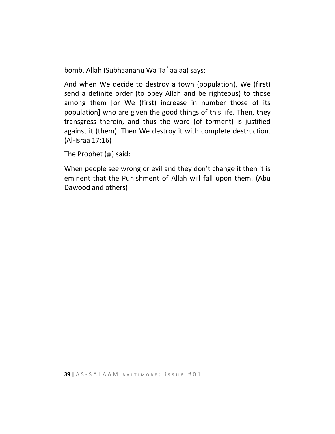bomb. Allah (Subhaanahu Wa Ta`aalaa) says:

And when We decide to destroy a town (population), We (first) send a definite order (to obey Allah and be righteous) to those among them [or We (first) increase in number those of its population] who are given the good things of this life. Then, they transgress therein, and thus the word (of torment) is justified against it (them). Then We destroy it with complete destruction. (Al-Israa 17:16)

The Prophet  $(\triangleq)$  said:

When people see wrong or evil and they don't change it then it is eminent that the Punishment of Allah will fall upon them. (Abu Dawood and others)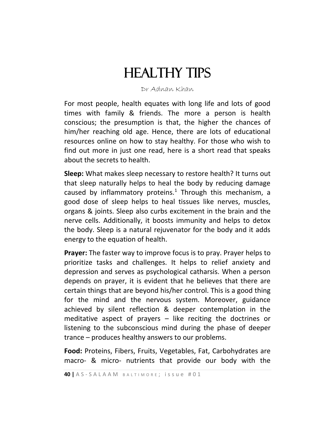# **HEALTHY TIPS**

#### Dr Adnan Khan

For most people, health equates with long life and lots of good times with family & friends. The more a person is health conscious; the presumption is that, the higher the chances of him/her reaching old age. Hence, there are lots of educational resources online on how to stay healthy. For those who wish to find out more in just one read, here is a short read that speaks about the secrets to health.

**Sleep:** What makes sleep necessary to restore health? It turns out that sleep naturally helps to heal the body by reducing damage caused by inflammatory proteins.<sup>1</sup> Through this mechanism, a good dose of sleep helps to heal tissues like nerves, muscles, organs & joints. Sleep also curbs excitement in the brain and the nerve cells. Additionally, it boosts immunity and helps to detox the body. Sleep is a natural rejuvenator for the body and it adds energy to the equation of health.

**Prayer:** The faster way to improve focus is to pray. Prayer helps to prioritize tasks and challenges. It helps to relief anxiety and depression and serves as psychological catharsis. When a person depends on prayer, it is evident that he believes that there are certain things that are beyond his/her control. This is a good thing for the mind and the nervous system. Moreover, guidance achieved by silent reflection & deeper contemplation in the meditative aspect of prayers  $-$  like reciting the doctrines or listening to the subconscious mind during the phase of deeper trance – produces healthy answers to our problems.

**Food:** Proteins, Fibers, Fruits, Vegetables, Fat, Carbohydrates are macro- & micro- nutrients that provide our body with the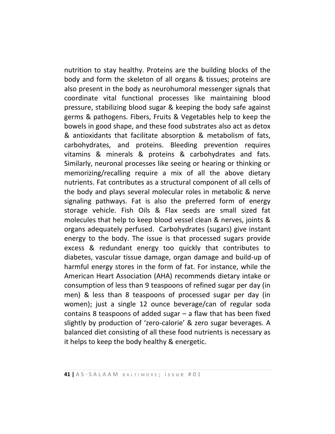nutrition to stay healthy. Proteins are the building blocks of the body and form the skeleton of all organs & tissues; proteins are also present in the body as neurohumoral messenger signals that coordinate vital functional processes like maintaining blood pressure, stabilizing blood sugar & keeping the body safe against germs & pathogens. Fibers, Fruits & Vegetables help to keep the bowels in good shape, and these food substrates also act as detox & antioxidants that facilitate absorption & metabolism of fats, carbohydrates, and proteins. Bleeding prevention requires vitamins & minerals & proteins & carbohydrates and fats. Similarly, neuronal processes like seeing or hearing or thinking or memorizing/recalling require a mix of all the above dietary nutrients. Fat contributes as a structural component of all cells of the body and plays several molecular roles in metabolic & nerve signaling pathways. Fat is also the preferred form of energy storage vehicle. Fish Oils & Flax seeds are small sized fat molecules that help to keep blood vessel clean & nerves, joints & organs adequately perfused. Carbohydrates (sugars) give instant energy to the body. The issue is that processed sugars provide excess & redundant energy too quickly that contributes to diabetes, vascular tissue damage, organ damage and build-up of harmful energy stores in the form of fat. For instance, while the American Heart Association (AHA) recommends dietary intake or consumption of less than 9 teaspoons of refined sugar per day (in men) & less than 8 teaspoons of processed sugar per day (in women); just a single 12 ounce beverage/can of regular soda contains 8 teaspoons of added sugar – a flaw that has been fixed slightly by production of 'zero-calorie' & zero sugar beverages. A balanced diet consisting of all these food nutrients is necessary as it helps to keep the body healthy & energetic.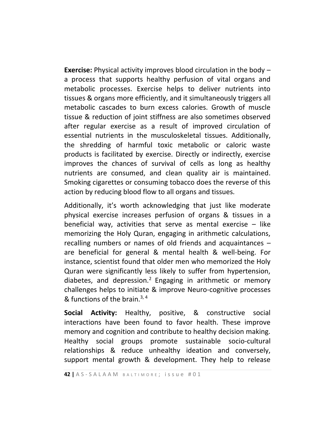**Exercise:** Physical activity improves blood circulation in the body – a process that supports healthy perfusion of vital organs and metabolic processes. Exercise helps to deliver nutrients into tissues & organs more efficiently, and it simultaneously triggers all metabolic cascades to burn excess calories. Growth of muscle tissue & reduction of joint stiffness are also sometimes observed after regular exercise as a result of improved circulation of essential nutrients in the musculoskeletal tissues. Additionally, the shredding of harmful toxic metabolic or caloric waste products is facilitated by exercise. Directly or indirectly, exercise improves the chances of survival of cells as long as healthy nutrients are consumed, and clean quality air is maintained. Smoking cigarettes or consuming tobacco does the reverse of this action by reducing blood flow to all organs and tissues.

Additionally, it's worth acknowledging that just like moderate physical exercise increases perfusion of organs & tissues in a beneficial way, activities that serve as mental exercise  $-$  like memorizing the Holy Quran, engaging in arithmetic calculations, recalling numbers or names of old friends and acquaintances – are beneficial for general & mental health & well-being. For instance, scientist found that older men who memorized the Holy Quran were significantly less likely to suffer from hypertension, diabetes, and depression.<sup>2</sup> Engaging in arithmetic or memory challenges helps to initiate & improve Neuro-cognitive processes & functions of the brain.<sup>3, 4</sup>

**Social Activity:** Healthy, positive, & constructive social interactions have been found to favor health. These improve memory and cognition and contribute to healthy decision making. Healthy social groups promote sustainable socio-cultural relationships & reduce unhealthy ideation and conversely, support mental growth & development. They help to release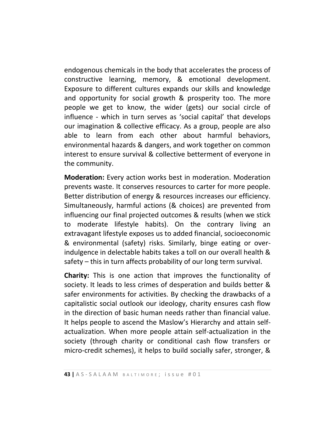endogenous chemicals in the body that accelerates the process of constructive learning, memory, & emotional development. Exposure to different cultures expands our skills and knowledge and opportunity for social growth & prosperity too. The more people we get to know, the wider (gets) our social circle of influence - which in turn serves as 'social capital' that develops our imagination & collective efficacy. As a group, people are also able to learn from each other about harmful behaviors, environmental hazards & dangers, and work together on common interest to ensure survival & collective betterment of everyone in the community.

**Moderation:** Every action works best in moderation. Moderation prevents waste. It conserves resources to carter for more people. Better distribution of energy & resources increases our efficiency. Simultaneously, harmful actions (& choices) are prevented from influencing our final projected outcomes & results (when we stick to moderate lifestyle habits). On the contrary living an extravagant lifestyle exposes us to added financial, socioeconomic & environmental (safety) risks. Similarly, binge eating or overindulgence in delectable habits takes a toll on our overall health & safety – this in turn affects probability of our long term survival.

**Charity:** This is one action that improves the functionality of society. It leads to less crimes of desperation and builds better & safer environments for activities. By checking the drawbacks of a capitalistic social outlook our ideology, charity ensures cash flow in the direction of basic human needs rather than financial value. It helps people to ascend the Maslow's Hierarchy and attain selfactualization. When more people attain self-actualization in the society (through charity or conditional cash flow transfers or micro-credit schemes), it helps to build socially safer, stronger, &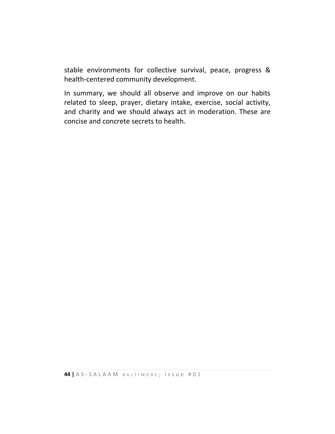stable environments for collective survival, peace, progress & health-centered community development.

In summary, we should all observe and improve on our habits related to sleep, prayer, dietary intake, exercise, social activity, and charity and we should always act in moderation. These are concise and concrete secrets to health.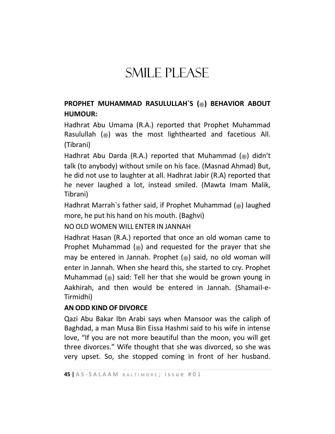# SMILE PLEASE

### **PROPHET MUHAMMAD RASULULLAH`S (**صلى الله عليه وسلم **(BEHAVIOR ABOUT HUMOUR:**

Hadhrat Abu Umama (R.A.) reported that Prophet Muhammad Rasulullah  $(\circledast)$  was the most lighthearted and facetious All. (Tibrani)

Hadhrat Abu Darda (R.A.) reported that Muhammad  $\gg$  didn't talk (to anybody) without smile on his face. (Masnad Ahmad) But, he did not use to laughter at all. Hadhrat Jabir (R.A) reported that he never laughed a lot, instead smiled. (Mawta Imam Malik, Tibrani)

Hadhrat Marrah`s father said, if Prophet Muhammad (.) laughed more, he put his hand on his mouth. (Baghvi)

NO OLD WOMEN WILL ENTER IN JANNAH

Hadhrat Hasan (R.A.) reported that once an old woman came to Prophet Muhammad ( $\triangleq$ ) and requested for the prayer that she may be entered in Jannah. Prophet  $(*)$  said, no old woman will enter in Jannah. When she heard this, she started to cry. Prophet Muhammad ( $\ast$ ) said: Tell her that she would be grown young in Aakhirah, and then would be entered in Jannah. (Shamail-e-Tirmidhi)

### **AN ODD KIND OF DIVORCE**

Qazi Abu Bakar Ibn Arabi says when Mansoor was the caliph of Baghdad, a man Musa Bin Eissa Hashmi said to his wife in intense love, "If you are not more beautiful than the moon, you will get three divorces." Wife thought that she was divorced, so she was very upset. So, she stopped coming in front of her husband.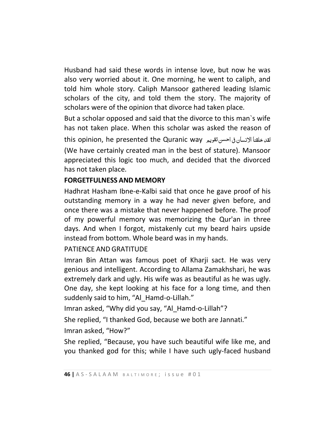Husband had said these words in intense love, but now he was also very worried about it. One morning, he went to caliph, and told him whole story. Caliph Mansoor gathered leading Islamic scholars of the city, and told them the story. The majority of scholars were of the opinion that divorce had taken place.

But a scholar opposed and said that the divorce to this man`s wife has not taken place. When this scholar was asked the reason of this opinion, he presented the Quranic way احسنتقویم یف االنسان خلقنا لقد (We have certainly created man in the best of stature). Mansoor appreciated this logic too much, and decided that the divorced has not taken place.

### **FORGETFULNESS AND MEMORY**

Hadhrat Hasham Ibne-e-Kalbi said that once he gave proof of his outstanding memory in a way he had never given before, and once there was a mistake that never happened before. The proof of my powerful memory was memorizing the Qur'an in three days. And when I forgot, mistakenly cut my beard hairs upside instead from bottom. Whole beard was in my hands.

### PATIENCE AND GRATITUDE

Imran Bin Attan was famous poet of Kharji sact. He was very genious and intelligent. According to Allama Zamakhshari, he was extremely dark and ugly. His wife was as beautiful as he was ugly. One day, she kept looking at his face for a long time, and then suddenly said to him, "Al\_Hamd-o-Lillah."

Imran asked, "Why did you say, "Al\_Hamd-o-Lillah"?

She replied, "I thanked God, because we both are Jannati."

Imran asked, "How?"

She replied, "Because, you have such beautiful wife like me, and you thanked god for this; while I have such ugly-faced husband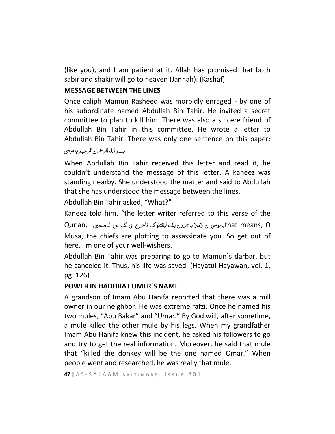(like you), and I am patient at it. Allah has promised that both sabir and shakir will go to heaven (Jannah). (Kashaf)

#### **MESSAGE BETWEEN THE LINES**

Once caliph Mamun Rasheed was morbidly enraged - by one of his subordinate named Abdullah Bin Tahir. He invited a secret committee to plan to kill him. There was also a sincere friend of Abdullah Bin Tahir in this committee. He wrote a letter to Abdullah Bin Tahir. There was only one sentence on this paper:

.بسمِ اللہالرحمان الرحيمِ ياموسىٰ

When Abdullah Bin Tahir received this letter and read it, he couldn't understand the message of this letter. A kaneez was standing nearby. She understood the matter and said to Abdullah that she has understood the message between the lines.

Abdullah Bin Tahir asked, "What?"

Kaneez told him, "the letter writer referred to this verse of the

یس <sup>ی</sup> ان المال یامترون بک لیقتلوک فاخرج این لک من الناصحنی ,an'Qur امو that means, O Musa, the chiefs are plotting to assassinate you. So get out of here, I'm one of your well-wishers.

Abdullah Bin Tahir was preparing to go to Mamun`s darbar, but he canceled it. Thus, his life was saved. (Hayatul Hayawan, vol. 1, pg. 126)

#### **POWER IN HADHRAT UMER`S NAME**

A grandson of Imam Abu Hanifa reported that there was a mill owner in our neighbor. He was extreme rafzi. Once he named his two mules, "Abu Bakar" and "Umar." By God will, after sometime, a mule killed the other mule by his legs. When my grandfather Imam Abu Hanifa knew this incident, he asked his followers to go and try to get the real information. Moreover, he said that mule that "killed the donkey will be the one named Omar." When people went and researched, he was really that mule.